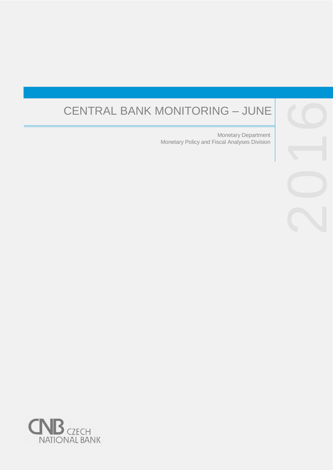# CENTRAL BANK MONITORING – JUNE

Monetary Policy and Fiscal Analyses Division Monetary Department



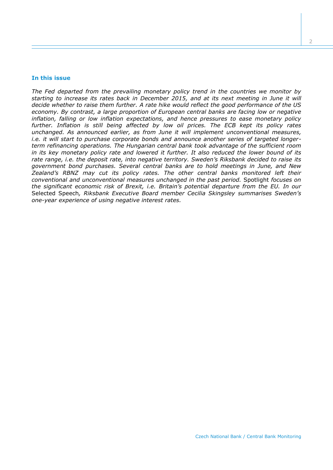#### **In this issue**

*The Fed departed from the prevailing monetary policy trend in the countries we monitor by starting to increase its rates back in December 2015, and at its next meeting in June it will decide whether to raise them further. A rate hike would reflect the good performance of the US economy. By contrast, a large proportion of European central banks are facing low or negative inflation, falling or low inflation expectations, and hence pressures to ease monetary policy further. Inflation is still being affected by low oil prices. The ECB kept its policy rates unchanged. As announced earlier, as from June it will implement unconventional measures, i.e. it will start to purchase corporate bonds and announce another series of targeted longerterm refinancing operations. The Hungarian central bank took advantage of the sufficient room in its key monetary policy rate and lowered it further. It also reduced the lower bound of its rate range, i.e. the deposit rate, into negative territory. Sweden's Riksbank decided to raise its government bond purchases. Several central banks are to hold meetings in June, and New Zealand's RBNZ may cut its policy rates. The other central banks monitored left their conventional and unconventional measures unchanged in the past period.* Spotlight *focuses on the significant economic risk of Brexit, i.e. Britain's potential departure from the EU. In our*  Selected Speech*, Riksbank Executive Board member Cecilia Skingsley summarises Sweden's one-year experience of using negative interest rates.*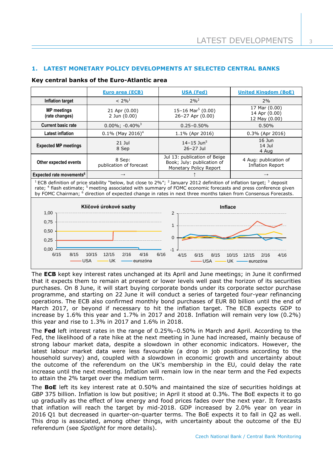# **1. LATEST MONETARY POLICY DEVELOPMENTS AT SELECTED CENTRAL BANKS**

## **Key central banks of the Euro-Atlantic area**

|                                                                                                                                                                                                                                                                                                                                                                                                                               | Euro area (ECB)                                  | <b>USA (Fed)</b>                                                                     | <b>United Kingdom (BoE)</b>                         |  |  |  |
|-------------------------------------------------------------------------------------------------------------------------------------------------------------------------------------------------------------------------------------------------------------------------------------------------------------------------------------------------------------------------------------------------------------------------------|--------------------------------------------------|--------------------------------------------------------------------------------------|-----------------------------------------------------|--|--|--|
| Inflation target                                                                                                                                                                                                                                                                                                                                                                                                              | $< 2\%$ <sup>1</sup>                             | $2\%^{2}$                                                                            | 2%                                                  |  |  |  |
| <b>MP</b> meetings<br>(rate changes)                                                                                                                                                                                                                                                                                                                                                                                          | 21 Apr (0.00)<br>2 Jun (0.00)                    | 15-16 Mar <sup>5</sup> (0.00)<br>26-27 Apr (0.00)                                    | 17 Mar (0.00)<br>14 Apr (0.00)<br>12 May (0.00)     |  |  |  |
| <b>Current basic rate</b>                                                                                                                                                                                                                                                                                                                                                                                                     | $0.00\%$ ; -0.40% <sup>3</sup>                   | $0.25 - 0.50\%$                                                                      | 0.50%                                               |  |  |  |
| <b>Latest inflation</b>                                                                                                                                                                                                                                                                                                                                                                                                       | $0.1\%$ (May 2016) <sup>4</sup>                  | 1.1% (Apr 2016)                                                                      | $0.3\%$ (Apr 2016)                                  |  |  |  |
| <b>Expected MP meetings</b>                                                                                                                                                                                                                                                                                                                                                                                                   | $21$ Jul<br>8 Sep                                | $14 - 15$ Jun <sup>5</sup><br>$26 - 27$ Jul                                          | $16$ Jun<br>$14$ Jul<br>4 Aug                       |  |  |  |
| Other expected events                                                                                                                                                                                                                                                                                                                                                                                                         | 8 Sep:<br>publication of forecast                | Jul 13: publication of Beige<br>Book; July: publication of<br>Monetary Policy Report | 4 Aug: publication of<br><b>Inflation Report</b>    |  |  |  |
| Expected rate movements <sup>6</sup>                                                                                                                                                                                                                                                                                                                                                                                          | $\rightarrow$                                    |                                                                                      |                                                     |  |  |  |
| <sup>1</sup> ECB definition of price stability "below, but close to 2%"; <sup>2</sup> January 2012 definition of inflation target; <sup>3</sup> deposit<br>rate; <sup>4</sup> flash estimate; <sup>5</sup> meeting associated with summary of FOMC economic forecasts and press conference given<br>by FOMC Chairman; <sup>6</sup> direction of expected change in rates in next three months taken from Consensus Forecasts. |                                                  |                                                                                      |                                                     |  |  |  |
| 1,00                                                                                                                                                                                                                                                                                                                                                                                                                          | Klíčové úrokové sazby                            | <b>Inflace</b><br>$\overline{2}$                                                     |                                                     |  |  |  |
| 0,75<br>0,50<br>0,25<br>0,00                                                                                                                                                                                                                                                                                                                                                                                                  |                                                  | $\mathbf{1}$<br>$\Omega$                                                             |                                                     |  |  |  |
| 6/15<br>8/15<br>USA                                                                                                                                                                                                                                                                                                                                                                                                           | 12/15<br>2/16<br>10/15<br>4/16<br>UK<br>eurozóna | 6/16<br>4/15<br>6/15<br>8/15<br><b>USA</b>                                           | 10/15<br>4/16<br>12/15<br>2/16<br>UK -<br>•eurozóna |  |  |  |

The **ECB** kept key interest rates unchanged at its April and June meetings; in June it confirmed that it expects them to remain at present or lower levels well past the horizon of its securities purchases. On 8 June, it will start buying corporate bonds under its corporate sector purchase programme, and starting on 22 June it will conduct a series of targeted four-year refinancing operations. The ECB also confirmed monthly bond purchases of EUR 80 billion until the end of March 2017, or beyond if necessary to hit the inflation target. The ECB expects GDP to increase by 1.6% this year and 1.7% in 2017 and 2018. Inflation will remain very low (0.2%) this year and rise to 1.3% in 2017 and 1.6% in 2018.

The **Fed** left interest rates in the range of 0.25%–0.50% in March and April. According to the Fed, the likelihood of a rate hike at the next meeting in June had increased, mainly because of strong labour market data, despite a slowdown in other economic indicators. However, the latest labour market data were less favourable (a drop in job positions according to the household survey) and, coupled with a slowdown in economic growth and uncertainty about the outcome of the referendum on the UK's membership in the EU, could delay the rate increase until the next meeting. Inflation will remain low in the near term and the Fed expects to attain the 2% target over the medium term.

The **BoE** left its key interest rate at 0.50% and maintained the size of securities holdings at GBP 375 billion. Inflation is low but positive; in April it stood at 0.3%. The BoE expects it to go up gradually as the effect of low energy and food prices fades over the next year. It forecasts that inflation will reach the target by mid-2018. GDP increased by 2.0% year on year in 2016 Q1 but decreased in quarter-on-quarter terms. The BoE expects it to fall in Q2 as well. This drop is associated, among other things, with uncertainty about the outcome of the EU referendum (see *Spotlight* for more details).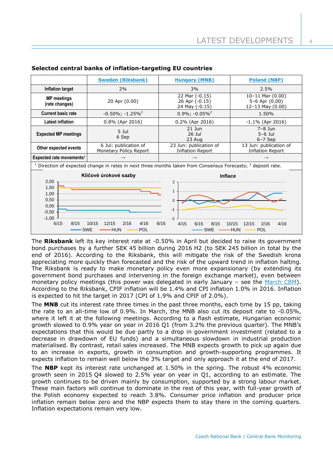|                                                                                                                  | <b>Sweden (Riksbank)</b>                             | <b>Hungary (MNB)</b>                                            | <b>Poland (NBP)</b>                                            |  |  |
|------------------------------------------------------------------------------------------------------------------|------------------------------------------------------|-----------------------------------------------------------------|----------------------------------------------------------------|--|--|
| Inflation target                                                                                                 | 2%                                                   | 3%                                                              | 2.5%                                                           |  |  |
| <b>MP</b> meetings<br>(rate changes)                                                                             | 20 Apr (0.00)                                        | 22 Mar (-0.15)<br>26 Apr (-0.15)<br>24 May (-0.15)              | $10-11$ Mar $(0.00)$<br>$5-6$ Apr $(0.00)$<br>12-13 May (0.00) |  |  |
| <b>Current basic rate</b>                                                                                        | $-0.50\%$ ; $-1.25\%$ <sup>2</sup>                   | $0.9\%$ ; $-0.05\%$ <sup>2</sup>                                | 1.50%                                                          |  |  |
| <b>Latest inflation</b>                                                                                          | 0.8% (Apr 2016)                                      | 0.2% (Apr 2016)                                                 | $-1.1\%$ (Apr 2016)                                            |  |  |
| <b>Expected MP meetings</b>                                                                                      | $5$ Jul<br>6 Sep                                     | $21$ Jun<br>$26$ Jul<br>23 Aug                                  | $7-8$ Jun<br>$5-6$ Jul<br>$6-7$ Sep                            |  |  |
| Other expected events                                                                                            | 6 Jul: publication of<br>Monetary Policy Report      | 23 Jun: publication of<br><b>Inflation Report</b>               | 13 Jun: publication of<br><b>Inflation Report</b>              |  |  |
| Expected rate movements <sup>1</sup>                                                                             | $\rightarrow$                                        | $\rightarrow$                                                   |                                                                |  |  |
| $1$ Direction of expected change in rates in next three months taken from Consensus Forecasts; $2$ deposit rate. |                                                      |                                                                 |                                                                |  |  |
| 2,00<br>1,50<br>1,00<br>0,50<br>0,00<br>$-0.50$<br>$-1,00$                                                       | Klíčové úrokové sazby                                | <b>Inflace</b><br>$\overline{2}$<br>1<br>$\Omega$<br>-1<br>$-2$ |                                                                |  |  |
| 6/15<br>8/15                                                                                                     | 4/16<br>10/15<br>12/15<br>2/16<br>SWE<br>-HUN<br>POL | 6/16<br>4/15<br>6/15<br>8/15<br><b>SWE</b>                      | 10/15<br>2/16<br>4/16<br>12/15<br>-HUN<br>POL                  |  |  |

## **Selected central banks of inflation-targeting EU countries**

The **Riksbank** left its key interest rate at -0.50% in April but decided to raise its government bond purchases by a further SEK 45 billion during 2016 H2 (to SEK 245 billion in total by the end of 2016). According to the Riksbank, this will mitigate the risk of the Swedish krona appreciating more quickly than forecasted and the risk of the upward trend in inflation halting. The Riksbank is ready to make monetary policy even more expansionary (by extending its government bond purchases and intervening in the foreign exchange market), even between monetary policy meetings (this power was delegated in early January – see the [March CBM\)](http://www.cnb.cz/miranda2/export/sites/www.cnb.cz/cs/menova_politika/monitoring_centralnich_bank/download/1601_mcb.pdf). According to the Riksbank, CPIF inflation will be 1.4% and CPI inflation 1.0% in 2016. Inflation is expected to hit the target in 2017 (CPI of 1.9% and CPIF of 2.0%).

The **MNB** cut its interest rate three times in the past three months, each time by 15 pp, taking the rate to an all-time low of 0.9%. In March, the MNB also cut its deposit rate to -0.05%, where it left it at the following meetings. According to a flash estimate, Hungarian economic growth slowed to 0.9% year on year in 2016 Q1 (from 3.2% the previous quarter). The MNB's expectations that this would be due partly to a drop in government investment (related to a decrease in drawdown of EU funds) and a simultaneous slowdown in industrial production materialised. By contrast, retail sales increased. The MNB expects growth to pick up again due to an increase in exports, growth in consumption and growth-supporting programmes. It expects inflation to remain well below the 3% target and only approach it at the end of 2017.

The **NBP** kept its interest rate unchanged at 1.50% in the spring. The robust 4% economic growth seen in 2015 Q4 slowed to 2.5% year on year in Q1, according to an estimate. The growth continues to be driven mainly by consumption, supported by a strong labour market. These main factors will continue to dominate in the rest of this year, with full-year growth of the Polish economy expected to reach 3.8%. Consumer price inflation and producer price inflation remain below zero and the NBP expects them to stay there in the coming quarters. Inflation expectations remain very low.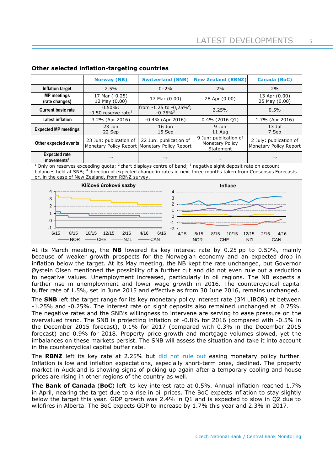4/15 6/15 8/15 10/15 12/15 2/16 4/16

NOR — CHE — NZL — CAN

5

|                                                                                                                                                                                                                                                                                                                          | <b>Norway (NB)</b>                           | <b>Switzerland (SNB)</b>                                                  | <b>New Zealand (RBNZ)</b>                             | <b>Canada (BoC)</b>                              |  |  |
|--------------------------------------------------------------------------------------------------------------------------------------------------------------------------------------------------------------------------------------------------------------------------------------------------------------------------|----------------------------------------------|---------------------------------------------------------------------------|-------------------------------------------------------|--------------------------------------------------|--|--|
| Inflation target                                                                                                                                                                                                                                                                                                         | 2.5%                                         | $0 - 2\%$                                                                 | 2%                                                    | 2%                                               |  |  |
| <b>MP</b> meetings<br>(rate changes)                                                                                                                                                                                                                                                                                     | 17 Mar (-0.25)<br>12 May (0.00)              | 17 Mar (0.00)                                                             | 28 Apr (0.00)                                         | 13 Apr (0.00)<br>25 May (0.00)                   |  |  |
| <b>Current basic rate</b>                                                                                                                                                                                                                                                                                                | $0.50\%;$<br>-0.50 reserve rate <sup>1</sup> | from $-1.25$ to $-0.25\%^2$ ;<br>$-0.75\%$ <sup>3</sup>                   | 2.25%                                                 | 0.5%                                             |  |  |
| <b>Latest inflation</b>                                                                                                                                                                                                                                                                                                  | 3.2% (Apr 2016)                              | $-0.4\%$ (Apr 2016)                                                       | $0.4\%$ (2016 Q1)                                     | 1.7% (Apr 2016)                                  |  |  |
| <b>Expected MP meetings</b>                                                                                                                                                                                                                                                                                              | 23 Jun<br>22 Sep                             | $16$ Jun<br>15 Sep                                                        | $9$ Jun<br>11 Aug                                     | $13$ Jul<br>7 Sep                                |  |  |
| Other expected events                                                                                                                                                                                                                                                                                                    | 23 Jun: publication of                       | 22 Jun: publication of<br>Monetary Policy Report   Monetary Policy Report | 9 Jun: publication of<br>Monetary Policy<br>Statement | 2 July: publication of<br>Monetary Policy Report |  |  |
| <b>Expected rate</b><br>movements <sup>4</sup>                                                                                                                                                                                                                                                                           |                                              |                                                                           |                                                       |                                                  |  |  |
| <sup>1</sup> Only on reserves exceeding quota; <sup>2</sup> chart displays centre of band; <sup>3</sup> negative sight deposit rate on account<br>balances held at SNB; 4 direction of expected change in rates in next three months taken from Consensus Forecasts<br>or, in the case of New Zealand, from RBNZ survey. |                                              |                                                                           |                                                       |                                                  |  |  |
|                                                                                                                                                                                                                                                                                                                          | Klíčové úrokové sazby                        | <b>Inflace</b>                                                            |                                                       |                                                  |  |  |
| 4<br>3<br>2<br>1<br>$\Omega$                                                                                                                                                                                                                                                                                             |                                              | 4<br>3<br>$\mathcal{P}$<br>$\Omega$<br>$-2$                               |                                                       |                                                  |  |  |

## **Other selected inflation-targeting countries**

6/15 8/15 10/15 12/15 2/16 4/16 6/16

 $-$ NOR  $-$ CHE  $-$ NZL  $-$ CAN

At its March meeting, the **NB** lowered its key interest rate by 0.25 pp to 0.50%, mainly because of weaker growth prospects for the Norwegian economy and an expected drop in inflation below the target. At its May meeting, the NB kept the rate unchanged, but Governor Øystein Olsen mentioned the possibility of a further cut and did not even rule out a reduction to negative values. Unemployment increased, particularly in oil regions. The NB expects a further rise in unemployment and lower wage growth in 2016. The countercyclical capital buffer rate of 1.5%, set in June 2015 and effective as from 30 June 2016, remains unchanged.

The **SNB** left the target range for its key monetary policy interest rate (3M LIBOR) at between -1.25% and -0.25%. The interest rate on sight deposits also remained unchanged at -0.75%. The negative rates and the SNB's willingness to intervene are serving to ease pressure on the overvalued franc. The SNB is projecting inflation of -0.8% for 2016 (compared with -0.5% in the December 2015 forecast), 0.1% for 2017 (compared with 0.3% in the December 2015 forecast) and 0.9% for 2018. Property price growth and mortgage volumes slowed, yet the imbalances on these markets persist. The SNB will assess the situation and take it into account in the countercyclical capital buffer rate.

The RBNZ left its key rate at 2.25% but [did not rule out](http://www.rbnz.govt.nz/news/2016/04/official-cash-rate-unchanged-at-2-25-percent) easing monetary policy further. Inflation is low and inflation expectations, especially short-term ones, declined. The property market in Auckland is showing signs of picking up again after a temporary cooling and house prices are rising in other regions of the country as well.

**The Bank of Canada** (**BoC**) left its key interest rate at 0.5%. Annual inflation reached 1.7% in April, nearing the target due to a rise in oil prices. The BoC expects inflation to stay slightly below the target this year. GDP growth was 2.4% in Q1 and is expected to slow in Q2 due to wildfires in Alberta. The BoC expects GDP to increase by 1.7% this year and 2.3% in 2017.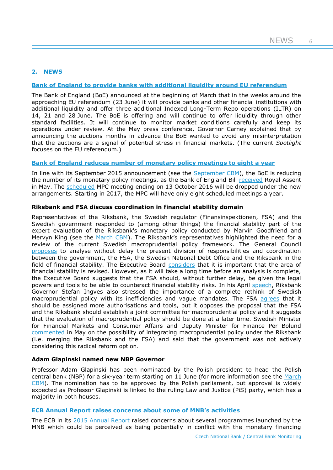6

# **2. NEWS**

# **[Bank of England to provide banks with additional liquidity around EU referendum](http://www.bankofengland.co.uk/publications/Pages/news/2016/039.aspx)**

The Bank of England (BoE) announced at the beginning of March that in the weeks around the approaching EU referendum (23 June) it will provide banks and other financial institutions with additional liquidity and offer three additional Indexed Long-Term Repo operations (ILTR) on 14, 21 and 28 June. The BoE is offering and will continue to offer liquidity through other standard facilities. It will continue to monitor market conditions carefully and keep its operations under review. At the May press conference, Governor Carney explained that by announcing the auctions months in advance the BoE wanted to avoid any misinterpretation that the auctions are a signal of potential stress in financial markets. (The current *Spotlight* focuses on the EU referendum.)

## **[Bank of England reduces number of monetary policy meetings](http://www.bankofengland.co.uk/publications/Pages/news/2016/051.aspx) to eight a year**

In line with its September 2015 announcement (see the [September CBM\)](http://www.cnb.cz/miranda2/export/sites/www.cnb.cz/en/monetary_policy/monitoring/download/1503_cbm.pdf), the BoE is reducing the number of its monetary policy meetings, as the Bank of England Bill [received](https://www.gov.uk/government/news/bank-of-england-and-financial-services-bill-given-royal-assent) Royal Assent in May. The [scheduled](http://www.bankofengland.co.uk/publications/Pages/news/2015/069.aspx) MPC meeting ending on 13 October 2016 will be dropped under the new arrangements. Starting in 2017, the MPC will have only eight scheduled meetings a year.

## **Riksbank and FSA discuss coordination in financial stability domain**

Representatives of the Riksbank, the Swedish regulator (Finansinspektionen, FSA) and the Swedish government responded to (among other things) the financial stability part of the expert evaluation of the Riksbank's monetary policy conducted by Marvin Goodfriend and Mervyn King (see the [March CBM](http://www.cnb.cz/miranda2/export/sites/www.cnb.cz/en/monetary_policy/monitoring/download/1601_cbm.pdf)). The Riksbank's representatives highlighted the need for a review of the current Swedish macroprudential policy framework. The General Council [proposes](http://www.riksbank.se/Documents/Remisser/2016/remiss_FiU_fullm_160414_eng.pdf) to analyse without delay the present division of responsibilities and coordination between the government, the FSA, the Swedish National Debt Office and the Riksbank in the field of financial stability. The Executive Board [considers](http://www.riksbank.se/Documents/Remisser/2016/remiss_FiU_160414_eng.pdf) that it is important that the area of financial stability is revised. However, as it will take a long time before an analysis is complete, the Executive Board suggests that the FSA should, without further delay, be given the legal powers and tools to be able to counteract financial stability risks. In his April [speech,](http://www.riksbank.se/en/Press-and-published/Speeches/2016/Ingves-Time-to-rethink---inside-the-head-of-a-central-bank-governor/) Riksbank Governor Stefan Ingves also stressed the importance of a complete rethink of Swedish macroprudential policy with its inefficiencies and vague mandates. The FSA [agrees](http://www.fi.se/Folder-EN/Startpage/Supervision/Miscellaneous/Listan/Consultation-response-regarding-Review-of-the-Riksbanks-Monetary-Policy-20102015-/) that it should be assigned more authorisations and tools, but it opposes the proposal that the FSA and the Riksbank should establish a joint committee for macroprudential policy and it suggests that the evaluation of macroprudential policy should be done at a later time. Swedish Minister for Financial Markets and Consumer Affairs and Deputy Minister for Finance Per Bolund [commented](http://www.centralbanking.com/central-banking/news/2457441/riksbank-fi-merger-not-on-the-table-swedish-minister) in May on the possibility of integrating macroprudential policy under the Riksbank (i.e. merging the Riksbank and the FSA) and said that the government was not actively considering this radical reform option.

# **Adam Glapinski named new NBP Governor**

Professor Adam Glapinski has been nominated by the Polish president to head the Polish central bank (NBP) for a six-year term starting on 11 June (for more information see the [March](http://www.cnb.cz/miranda2/export/sites/www.cnb.cz/en/monetary_policy/monitoring/download/1601_cbm.pdf)  [CBM\)](http://www.cnb.cz/miranda2/export/sites/www.cnb.cz/en/monetary_policy/monitoring/download/1601_cbm.pdf). The nomination has to be approved by the Polish parliament, but approval is widely expected as Professor Glapinski is linked to the ruling Law and Justice (PiS) party, which has a majority in both houses.

# **[ECB Annual Report raises concerns about some of MNB's activities](https://www.ecb.europa.eu/pub/pdf/annrep/ar2015en.pdf?51b9735eed394d1acf8eecf58bb0452e)**

The ECB in its [2015 Annual Report](https://www.ecb.europa.eu/pub/pdf/annrep/ar2015en.pdf?51b9735eed394d1acf8eecf58bb0452e) raised concerns about several programmes launched by the MNB which could be perceived as being potentially in conflict with the monetary financing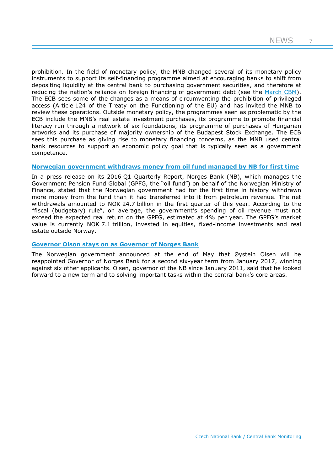7

prohibition. In the field of monetary policy, the MNB changed several of its monetary policy instruments to support its self-financing programme aimed at encouraging banks to shift from depositing liquidity at the central bank to purchasing government securities, and therefore at reducing the nation's reliance on foreign financing of government debt (see the [March CBM\)](http://www.cnb.cz/miranda2/export/sites/www.cnb.cz/en/monetary_policy/monitoring/download/1601_cbm.pdf). The ECB sees some of the changes as a means of circumventing the prohibition of privileged access (Article 124 of the Treaty on the Functioning of the EU) and has invited the MNB to review these operations. Outside monetary policy, the programmes seen as problematic by the ECB include the MNB's real estate investment purchases, its programme to promote financial literacy run through a network of six foundations, its programme of purchases of Hungarian artworks and its purchase of majority ownership of the Budapest Stock Exchange. The ECB sees this purchase as giving rise to monetary financing concerns, as the MNB used central bank resources to support an economic policy goal that is typically seen as a government competence.

# **[Norwegian government withdraws money from oil fund managed by NB for first time](https://www.nbim.no/en/transparency/news-list/2016/negative-returns-in-the-first-quarter/)**

In a press release on its 2016 Q1 Quarterly Report, Norges Bank (NB), which manages the Government Pension Fund Global (GPFG, the "oil fund") on behalf of the Norwegian Ministry of Finance, stated that the Norwegian government had for the first time in history withdrawn more money from the fund than it had transferred into it from petroleum revenue. The net withdrawals amounted to NOK 24.7 billion in the first quarter of this year. According to the "fiscal (budgetary) rule", on average, the government's spending of oil revenue must not exceed the expected real return on the GPFG, estimated at 4% per year. The GPFG's market value is currently NOK 7.1 trillion, invested in equities, fixed-income investments and real estate outside Norway.

# **[Governor Olson stays on as Governor of Norges Bank](http://www.norges-bank.no/en/Published/Press-releases/2016/2016-05-27-Press-release/)**

The Norwegian government announced at the end of May that Øystein Olsen will be reappointed Governor of Norges Bank for a second six-year term from January 2017, winning against six other applicants. Olsen, governor of the NB since January 2011, said that he looked forward to a new term and to solving important tasks within the central bank's core areas.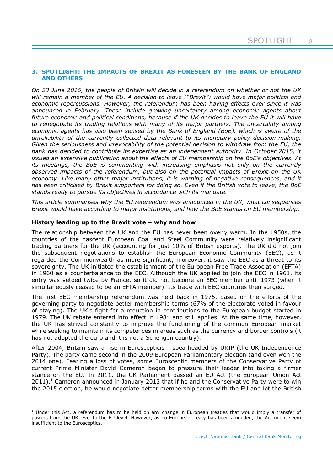8

## **3. SPOTLIGHT: THE IMPACTS OF BREXIT AS FORESEEN BY THE BANK OF ENGLAND AND OTHERS**

*On 23 June 2016, the people of Britain will decide in a referendum on whether or not the UK will remain a member of the EU. A decision to leave ("Brexit") would have major political and economic repercussions. However, the referendum has been having effects ever since it was announced in February. These include growing uncertainty among economic agents about future economic and political conditions, because if the UK decides to leave the EU it will have to renegotiate its trading relations with many of its major partners. The uncertainty among economic agents has also been sensed by the Bank of England (BoE), which is aware of the unreliability of the currently collected data relevant to its monetary policy decision-making. Given the seriousness and irrevocability of the potential decision to withdraw from the EU, the bank has decided to contribute its expertise as an independent authority. In October 2015, it issued an extensive publication about the effects of EU membership on the BoE's objectives. At its meetings, the BoE is commenting with increasing emphasis not only on the currently observed impacts of the referendum, but also on the potential impacts of Brexit on the UK economy. Like many other major institutions, it is warning of negative consequences, and it has been criticised by Brexit supporters for doing so. Even if the British vote to leave, the BoE stands ready to pursue its objectives in accordance with its mandate.*

*This article summarises why the EU referendum was announced in the UK, what consequences Brexit would have according to major institutions, and how the BoE stands on EU membership.*

## **History leading up to the Brexit vote – why and how**

 $\overline{a}$ 

The relationship between the UK and the EU has never been overly warm. In the 1950s, the countries of the nascent European Coal and Steel Community were relatively insignificant trading partners for the UK (accounting for just 10% of British exports). The UK did not join the subsequent negotiations to establish the European Economic Community (EEC), as it regarded the Commonwealth as more significant; moreover, it saw the EEC as a threat to its sovereignty. The UK initiated the establishment of the European Free Trade Association (EFTA) in 1960 as a counterbalance to the EEC. Although the UK applied to join the EEC in 1961, its entry was vetoed twice by France, so it did not become an EEC member until 1973 (when it simultaneously ceased to be an EFTA member). Its trade with EEC countries then surged.

The first EEC membership referendum was held back in 1975, based on the efforts of the governing party to negotiate better membership terms (67% of the electorate voted in favour of staying). The UK's fight for a reduction in contributions to the European budget started in 1979. The UK rebate entered into effect in 1984 and still applies. At the same time, however, the UK has strived constantly to improve the functioning of the common European market while seeking to maintain its competences in areas such as the currency and border controls (it has not adopted the euro and it is not a Schengen country).

After 2004, Britain saw a rise in Euroscepticism spearheaded by UKIP (the UK Independence Party). The party came second in the 2009 European Parliamentary election (and even won the 2014 one). Fearing a loss of votes, some Eurosceptic members of the Conservative Party of current Prime Minister David Cameron began to pressure their leader into taking a firmer stance on the EU. In 2011, the UK Parliament passed an EU Act (the European Union Act  $2011$ ).<sup>1</sup> Cameron announced in January 2013 that if he and the Conservative Party were to win the 2015 election, he would negotiate better membership terms with the EU and let the British

 $1$  Under this Act, a referendum has to be held on any change in European treaties that would imply a transfer of powers from the UK level to the EU level. However, as no European treaty has been amended, the Act might seem insufficient to the Eurosceptics.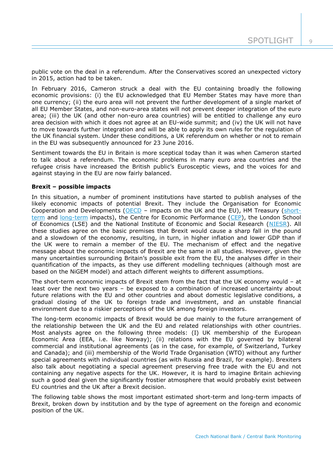$\overline{Q}$ 

public vote on the deal in a referendum. After the Conservatives scored an unexpected victory in 2015, action had to be taken.

In February 2016, Cameron struck a deal with the EU containing broadly the following economic provisions: (i) the EU acknowledged that EU Member States may have more than one currency; (ii) the euro area will not prevent the further development of a single market of all EU Member States, and non-euro-area states will not prevent deeper integration of the euro area; (iii) the UK (and other non-euro area countries) will be entitled to challenge any euro area decision with which it does not agree at an EU-wide summit; and (iv) the UK will not have to move towards further integration and will be able to apply its own rules for the regulation of the UK financial system. Under these conditions, a UK referendum on whether or not to remain in the EU was subsequently announced for 23 June 2016.

Sentiment towards the EU in Britain is more sceptical today than it was when Cameron started to talk about a referendum. The economic problems in many euro area countries and the refugee crisis have increased the British public's Eurosceptic views, and the voices for and against staying in the EU are now fairly balanced.

## **Brexit – possible impacts**

In this situation, a number of prominent institutions have started to publish analyses of the likely economic impacts of potential Brexit. They include the Organisation for Economic Cooperation and Developments [\(OECD](http://www.oecd.org/economy/The-Economic-consequences-of-Brexit-27-april-2016.pdf) – impacts on the UK and the EU), HM Treasury [\(short](https://www.gov.uk/government/uploads/system/uploads/attachment_data/file/524967/hm_treasury_analysis_the_immediate_economic_impact_of_leaving_the_eu_web.pdf)[term](https://www.gov.uk/government/uploads/system/uploads/attachment_data/file/524967/hm_treasury_analysis_the_immediate_economic_impact_of_leaving_the_eu_web.pdf) and [long-term](https://www.gov.uk/government/uploads/system/uploads/attachment_data/file/517415/treasury_analysis_economic_impact_of_eu_membership_web.pdf) impacts), the Centre for Economic Performance [\(CEP\)](http://cep.lse.ac.uk/pubs/download/brexit02.pdf), the London School of Economics (LSE) and the National Institute of Economic and Social Research [\(NIESR\)](http://www.niesr.ac.uk/eu-referendum-research-papers). All these studies agree on the basic premises that Brexit would cause a sharp fall in the pound and a slowdown of the economy, resulting, in turn, in higher inflation and lower GDP than if the UK were to remain a member of the EU. The mechanism of effect and the negative message about the economic impacts of Brexit are the same in all studies. However, given the many uncertainties surrounding Britain's possible exit from the EU, the analyses differ in their quantification of the impacts, as they use different modelling techniques (although most are based on the NiGEM model) and attach different weights to different assumptions.

The short-term economic impacts of Brexit stem from the fact that the UK economy would – at least over the next two years – be exposed to a combination of increased uncertainty about future relations with the EU and other countries and about domestic legislative conditions, a gradual closing of the UK to foreign trade and investment, and an unstable financial environment due to a riskier perceptions of the UK among foreign investors.

The long-term economic impacts of Brexit would be due mainly to the future arrangement of the relationship between the UK and the EU and related relationships with other countries. Most analysts agree on the following three models: (I) UK membership of the European Economic Area (EEA, i.e. like Norway); (ii) relations with the EU governed by bilateral commercial and institutional agreements (as in the case, for example, of Switzerland, Turkey and Canada); and (iii) membership of the World Trade Organisation (WTO) without any further special agreements with individual countries (as with Russia and Brazil, for example). Brexiters also talk about negotiating a special agreement preserving free trade with the EU and not containing any negative aspects for the UK. However, it is hard to imagine Britain achieving such a good deal given the significantly frostier atmosphere that would probably exist between EU countries and the UK after a Brexit decision.

The following table shows the most important estimated short-term and long-term impacts of Brexit, broken down by institution and by the type of agreement on the foreign and economic position of the UK.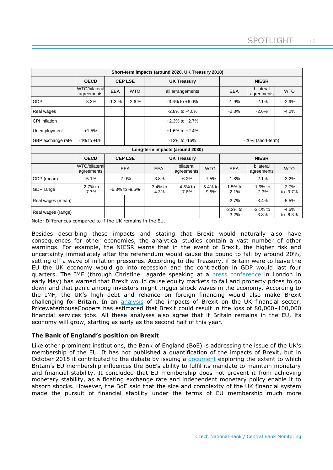| Short-term impacts (around 2020, UK Treasury 2018) |                             |                      |                |                                    |                         |                       |                         |                         |                       |
|----------------------------------------------------|-----------------------------|----------------------|----------------|------------------------------------|-------------------------|-----------------------|-------------------------|-------------------------|-----------------------|
|                                                    | <b>OECD</b>                 |                      | <b>CEP LSE</b> | <b>UK Treasury</b>                 |                         | <b>NIESR</b>          |                         |                         |                       |
|                                                    | WTO/bilateral<br>agreements | EEA                  | <b>WTO</b>     | all arrangements                   |                         | EEA                   | bilateral<br>agreements | <b>WTO</b>              |                       |
| GDP                                                | $-3.3%$                     | $-1.3%$              | $-2.6%$        | $-3.6\%$ to $+6.0\%$               |                         | $-1.9%$               | $-2.1%$                 | $-2.9%$                 |                       |
| Real wages                                         |                             |                      |                | $-2.8\%$ to $-4.0\%$               |                         | $-2.3%$               | $-2.6%$                 | $-4.2%$                 |                       |
| CPI inflation                                      |                             |                      |                | $+2.3\%$ to $+2.7\%$               |                         |                       |                         |                         |                       |
| Unemployment                                       | $+1.5%$                     |                      |                | $+1.6\%$ to $+2.4\%$               |                         |                       |                         |                         |                       |
| GBP exchange rate                                  | $-4\%$ to $+6\%$            |                      |                | -12% to -15%                       |                         | -20% (short-term)     |                         |                         |                       |
| Long-term impacts (around 2030)                    |                             |                      |                |                                    |                         |                       |                         |                         |                       |
|                                                    | <b>OECD</b>                 |                      | <b>CEPLSE</b>  | <b>NIESR</b><br><b>UK Treasury</b> |                         |                       |                         |                         |                       |
|                                                    | WTO/bilateral<br>agreements |                      | <b>EEA</b>     | <b>EEA</b>                         | bilateral<br>agreements | <b>WTO</b>            | EEA                     | bilateral<br>agreements | <b>WTO</b>            |
| GDP (mean)                                         | $-5.1%$                     |                      | $-7.9%$        | $-3.8%$                            | $-6.2%$                 | $-7.5%$               | $-1.8%$                 | $-2.1%$                 | $-3.2%$               |
| GDP range                                          | $-2.7%$ to<br>$-7.7%$       | $-6.3\%$ to $-9.5\%$ |                | $-3.4%$ to<br>$-4.3%$              | $-4.6%$ to<br>$-7.8%$   | $-5.4%$ to<br>$-9.5%$ | $-1.5%$ to<br>$-2.1%$   | $-1.9%$ to<br>$-2.3%$   | $-2.7%$<br>to $-3.7%$ |
| Real wages (mean)                                  |                             |                      |                |                                    |                         |                       | $-2.7%$                 | $-3.4%$                 | $-5.5%$               |
| Real wages (range)                                 |                             |                      |                |                                    |                         |                       | $-2.2%$ to<br>$-3.2%$   | $-3.1%$ to<br>$-3.8%$   | $-4.6%$<br>to $-6.3%$ |

Note: Differences compared to if the UK remains in the EU.

Besides describing these impacts and stating that Brexit would naturally also have consequences for other economies, the analytical studies contain a vast number of other warnings. For example, the NIESR warns that in the event of Brexit, the higher risk and uncertainty immediately after the referendum would cause the pound to fall by around 20%, setting off a wave of inflation pressures. According to the Treasury, if Britain were to leave the EU the UK economy would go into recession and the contraction in GDP would last four quarters. The IMF (through Christine Lagarde speaking at a [press conference](http://www.bloomberg.com/news/videos/2016-05-13/imf-says-brexit-has-global-implications-lagarde-speech-video) in London in early May) has warned that Brexit would cause equity markets to fall and property prices to go down and that panic among investors might trigger shock waves in the economy. According to the IMF, the UK's high debt and reliance on foreign financing would also make Brexit challenging for Britain. In an [analysis](https://www.thecityuk.com/assets/2016/Reports-PDF/Leaving-the-EU-Implications-for-the-UK-FS-sector.pdf) of the impacts of Brexit on the UK financial sector, PricewaterhouseCoopers has estimated that Brexit could result in the loss of 80,000–100,000 financial services jobs. All these analyses also agree that if Britain remains in the EU, its economy will grow, starting as early as the second half of this year.

# **The Bank of England's position on Brexit**

Like other prominent institutions, the Bank of England (BoE) is addressing the issue of the UK's membership of the EU. It has not published a quantification of the impacts of Brexit, but in October 2015 it contributed to the debate by issuing a [document](http://www.bankofengland.co.uk/publications/Documents/speeches/2015/euboe211015.pdf) exploring the extent to which Britain's EU membership influences the BoE's ability to fulfil its mandate to maintain monetary and financial stability. It concluded that EU membership does not prevent it from achieving monetary stability, as a floating exchange rate and independent monetary policy enable it to absorb shocks. However, the BoE said that the size and complexity of the UK financial system made the pursuit of financial stability under the terms of EU membership much more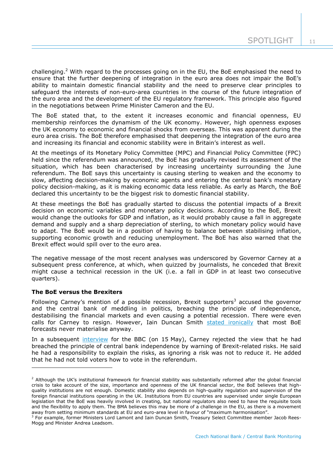challenging.<sup>2</sup> With regard to the processes going on in the EU, the BoE emphasised the need to ensure that the further deepening of integration in the euro area does not impair the BoE's ability to maintain domestic financial stability and the need to preserve clear principles to safeguard the interests of non-euro-area countries in the course of the future integration of the euro area and the development of the EU regulatory framework. This principle also figured in the negotiations between Prime Minister Cameron and the EU.

The BoE stated that, to the extent it increases economic and financial openness, EU membership reinforces the dynamism of the UK economy. However, high openness exposes the UK economy to economic and financial shocks from overseas. This was apparent during the euro area crisis. The BoE therefore emphasised that deepening the integration of the euro area and increasing its financial and economic stability were in Britain's interest as well.

At the meetings of its Monetary Policy Committee (MPC) and Financial Policy Committee (FPC) held since the referendum was announced, the BoE has gradually revised its assessment of the situation, which has been characterised by increasing uncertainty surrounding the June referendum. The BoE says this uncertainty is causing sterling to weaken and the economy to slow, affecting decision-making by economic agents and entering the central bank's monetary policy decision-making, as it is making economic data less reliable. As early as March, the BoE declared this uncertainty to be the biggest risk to domestic financial stability.

At these meetings the BoE has gradually started to discuss the potential impacts of a Brexit decision on economic variables and monetary policy decisions. According to the BoE, Brexit would change the outlooks for GDP and inflation, as it would probably cause a fall in aggregate demand and supply and a sharp depreciation of sterling, to which monetary policy would have to adapt. The BoE would be in a position of having to balance between stabilising inflation, supporting economic growth and reducing unemployment. The BoE has also warned that the Brexit effect would spill over to the euro area.

The negative message of the most recent analyses was underscored by Governor Carney at a subsequent press conference, at which, when quizzed by journalists, he conceded that Brexit might cause a technical recession in the UK (i.e. a fall in GDP in at least two consecutive quarters).

# **The BoE versus the Brexiters**

-

Following Carney's mention of a possible recession, Brexit supporters<sup>3</sup> accused the governor and the central bank of meddling in politics, breaching the principle of independence, destabilising the financial markets and even causing a potential recession. There were even calls for Carney to resign. However, Iain Duncan Smith [stated ironically](http://www.ft.com/intl/cms/s/0/54c975cc-1831-11e6-b197-a4af20d5575e.html?siteedition=uk#axzz49B76g9en) that most BoE forecasts never materialise anyway.

In a subsequent [interview](http://www.bbc.com/news/business-36295721) for the BBC (on 15 May), Carney rejected the view that he had breached the principle of central bank independence by warning of Brexit-related risks. He said he had a responsibility to explain the risks, as ignoring a risk was not to reduce it. He added that he had not told voters how to vote in the referendum.

 $<sup>2</sup>$  Although the UK's institutional framework for financial stability was substantially reformed after the global financial</sup> crisis to take account of the size, importance and openness of the UK financial sector, the BoE believes that highquality institutions are not enough. Domestic stability also depends on high-quality regulation and supervision of the foreign financial institutions operating in the UK. Institutions from EU countries are supervised under single European legislation that the BoE was heavily involved in creating, but national regulators also need to have the requisite tools and the flexibility to apply them. The BMA believes this may be more of a challenge in the EU, as there is a movement away from setting minimum standards at EU and euro-area level in favour of "maximum harmonisation".

<sup>&</sup>lt;sup>3</sup> For example, former Ministers Lord Lamont and Iain Duncan Smith, Treasury Select Committee member Jacob Rees-Mogg and Minister Andrea Leadsom.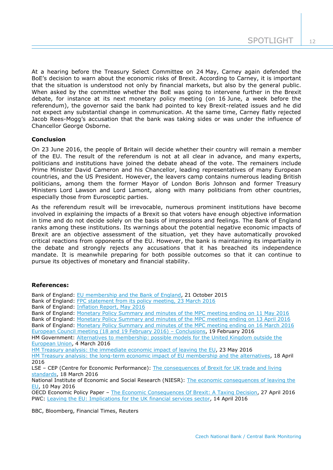At a hearing before the Treasury Select Committee on 24 May, Carney again defended the BoE's decision to warn about the economic risks of Brexit. According to Carney, it is important that the situation is understood not only by financial markets, but also by the general public. When asked by the committee whether the BoE was going to intervene further in the Brexit debate, for instance at its next monetary policy meeting (on 16 June, a week before the referendum), the governor said the bank had pointed to key Brexit-related issues and he did not expect any substantial change in communication. At the same time, Carney flatly rejected Jacob Rees-Mogg's accusation that the bank was taking sides or was under the influence of Chancellor George Osborne.

# **Conclusion**

On 23 June 2016, the people of Britain will decide whether their country will remain a member of the EU. The result of the referendum is not at all clear in advance, and many experts, politicians and institutions have joined the debate ahead of the vote. The remainers include Prime Minister David Cameron and his Chancellor, leading representatives of many European countries, and the US President. However, the leavers camp contains numerous leading British politicians, among them the former Mayor of London Boris Johnson and former Treasury Ministers Lord Lawson and Lord Lamont, along with many politicians from other countries, especially those from Eurosceptic parties.

As the referendum result will be irrevocable, numerous prominent institutions have become involved in explaining the impacts of a Brexit so that voters have enough objective information in time and do not decide solely on the basis of impressions and feelings. The Bank of England ranks among these institutions. Its warnings about the potential negative economic impacts of Brexit are an objective assessment of the situation, yet they have automatically provoked critical reactions from opponents of the EU. However, the bank is maintaining its impartiality in the debate and strongly rejects any accusations that it has breached its independence mandate. It is meanwhile preparing for both possible outcomes so that it can continue to pursue its objectives of monetary and financial stability.

## **References:**

| Bank of England: EU membership and the Bank of England, 21 October 2015                              |
|------------------------------------------------------------------------------------------------------|
| Bank of England: FPC statement from its policy meeting, 23 March 2016                                |
| Bank of England: Inflation Report, May 2016                                                          |
| Bank of England: Monetary Policy Summary and minutes of the MPC meeting ending on 11 May 2016        |
| Bank of England: Monetary Policy Summary and minutes of the MPC meeting ending on 13 April 2016      |
| Bank of England: Monetary Policy Summary and minutes of the MPC meeting ending on 16 March 2016      |
| European Council meeting (18 and 19 February 2016) - Conclusions, 19 February 2016                   |
| HM Government: Alternatives to membership: possible models for the United Kingdom outside the        |
| European Union, 4 March 2016                                                                         |
| HM Treasury analysis: the immediate economic impact of leaving the EU, 23 May 2016                   |
| HM Treasury analysis: the long-term economic impact of EU membership and the alternatives, 18 April  |
| 2016                                                                                                 |
| LSE - CEP (Centre for Economic Performance): The consequences of Brexit for UK trade and living      |
| standards, 18 March 2016                                                                             |
| National Institute of Economic and Social Research (NIESR): The economic consequences of leaving the |
| EU, 10 May 2016                                                                                      |

OECD Economic Policy Paper – [The Economic Consequences Of Brexit: A Taxing Decision,](http://www.oecd.org/economy/The-Economic-consequences-of-Brexit-27-april-2016.pdf) 27 April 2016 PWC: [Leaving the EU: Implications for the UK financial services sector,](https://www.thecityuk.com/assets/2016/Reports-PDF/Leaving-the-EU-Implications-for-the-UK-FS-sector.pdf) 14 April 2016

BBC, Bloomberg, Financial Times, Reuters